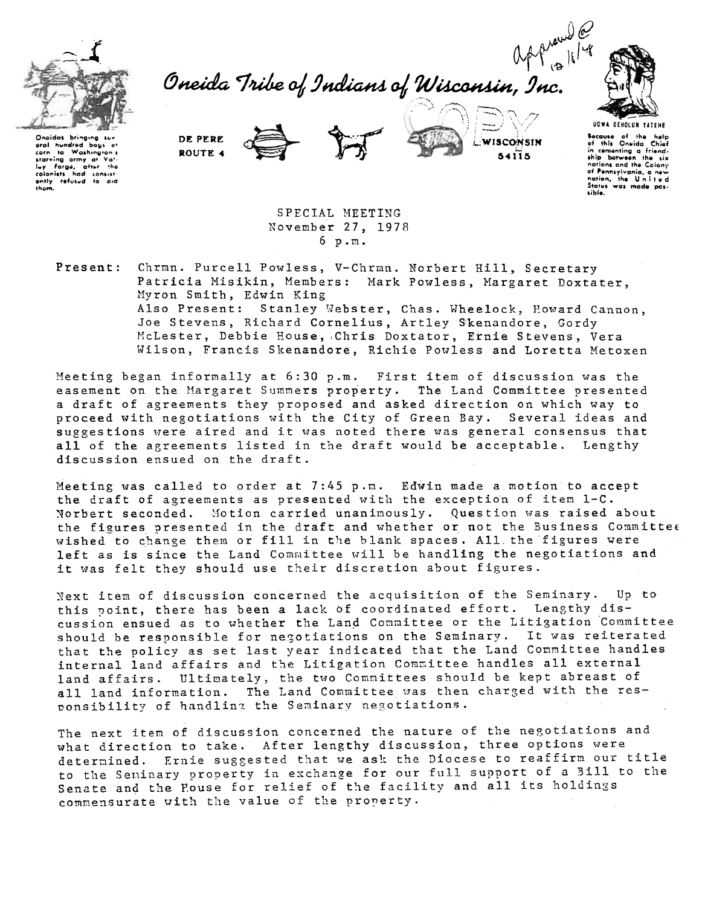

Oneida Tribe of Indians of Wisconsin, Inc.



Onoidas bringing su oral hundred bags of carn to Washington's<br>starving army of Vati-<br>ley Forga, after the<br>colonists had consistently refused to aid them.

DE PERE ROUTE 4





UGWA DEHOLUN YATEHE Because of the help<br>of this Oneida Chief in comenting a friend-<br>ship between the six nations and the Colony of Pennsylvania, a new Status was made p sible.

SPECIAL MEETING November 27, 1978  $6 p.m.$ 

Present: Chrmn. Purcell Powless, V-Chrmn. Norbert Hill, Secretary Patricia Misikin, Members: Mark Powless, Margaret Doxtater, Myron Smith, Edwin King Also Present: Stanley Webster, Chas. Wheelock, Howard Cannon, Joe Stevens, Richard Cornelius, Artley Skenandore, Gordy McLester, Debbie House, Chris Doxtator, Ernie Stevens, Vera

Wilson, Francis Skenandore, Richie Powless and Loretta Metoxen

Meeting began informally at 6:30 p.m. First item of discussion was the easement on the Margaret Summers property. The Land Committee presented a draft of agreements they proposed and asked direction on which way to proceed with negotiations with the City of Green Bay. Several ideas and suggestions were aired and it was noted there was general consensus that all of the agreements listed in the draft would be acceptable. Lengthy discussion ensued on the draft.

Meeting was called to order at 7:45 p.m. Edwin made a motion to accept the draft of agreements as presented with the exception of item 1-C. Norbert seconded. Motion carried unanimously. Question was raised about the figures presented in the draft and whether or not the Business Committee wished to change them or fill in the blank spaces. All the figures were left as is since the Land Committee will be handling the negotiations and it was felt they should use their discretion about figures.

Next item of discussion concerned the acquisition of the Seminary. Up to this point, there has been a lack of coordinated effort. Lengthy discussion ensued as to whether the Land Committee or the Litigation Committee should be responsible for negotiations on the Seminary. It was reiterated that the policy as set last year indicated that the Land Committee handles internal land affairs and the Litigation Committee handles all external land affairs. Ultimately, the two Committees should be kept abreast of all land information. The Land Committee was then charged with the responsibility of handling the Seminary negotiations.

The next item of discussion concerned the nature of the negotiations and what direction to take. After lengthy discussion, three options were determined. Ernie suggested that we ask the Diocese to reaffirm our title to the Seminary property in exchange for our full support of a Bill to the Senate and the House for relief of the facility and all its holdings commensurate with the value of the property.